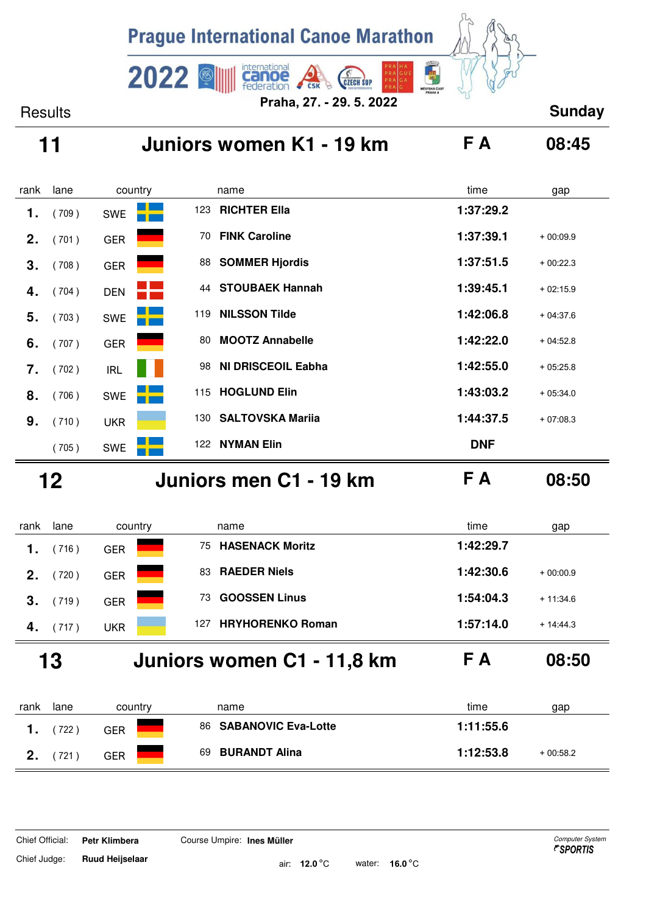

# **11 Juniors women K1 - 19 km F A 08:45**

| rank | lane  | country    |     | name                    | time       | gap        |
|------|-------|------------|-----|-------------------------|------------|------------|
| 1.   | (709) | <b>SWE</b> | 123 | <b>RICHTER Ella</b>     | 1:37:29.2  |            |
| 2.   | (701) | <b>GER</b> | 70  | <b>FINK Caroline</b>    | 1:37:39.1  | $+00:09.9$ |
| 3.   | (708) | <b>GER</b> | 88  | <b>SOMMER Hjordis</b>   | 1:37:51.5  | $+00:22.3$ |
| 4.   | (704) | <b>DEN</b> | 44  | <b>STOUBAEK Hannah</b>  | 1:39:45.1  | $+02:15.9$ |
| 5.   | (703) | <b>SWE</b> | 119 | <b>NILSSON Tilde</b>    | 1:42:06.8  | $+04:37.6$ |
| 6.   | (707) | <b>GER</b> | 80  | <b>MOOTZ Annabelle</b>  | 1:42:22.0  | $+04:52.8$ |
| 7.   | (702) | <b>IRL</b> | 98  | NI DRISCEOIL Eabha      | 1:42:55.0  | $+05:25.8$ |
| 8.   | (706) | <b>SWE</b> | 115 | <b>HOGLUND Elin</b>     | 1:43:03.2  | $+05:34.0$ |
| 9.   | (710) | <b>UKR</b> | 130 | <b>SALTOVSKA Marija</b> | 1:44:37.5  | $+07:08.3$ |
|      | (705) | <b>SWE</b> | 122 | <b>NYMAN Elin</b>       | <b>DNF</b> |            |

 **12 Juniors men C1 - 19 km F A 08:50**

| rank | lane | country    | name                           | time<br>gap             |
|------|------|------------|--------------------------------|-------------------------|
|      | 716) | <b>GER</b> | 75 HASENACK Moritz             | 1:42:29.7               |
| 2.   | 720) | <b>GER</b> | <b>RAEDER Niels</b><br>83      | 1:42:30.6<br>$+00:00.9$ |
| З.   | 719) | <b>GER</b> | <b>GOOSSEN Linus</b><br>73     | 1:54:04.3<br>$+11:34.6$ |
| 4.   | 717) | <b>UKR</b> | <b>HRYHORENKO Roman</b><br>127 | 1:57:14.0<br>$+14:44.3$ |
|      |      |            |                                |                         |

 **13 Juniors women C1 - 11,8 km F A 08:50**

| rank | lane | country | name                   | time<br>gap             |
|------|------|---------|------------------------|-------------------------|
|      | 722  | GER     | 86 SABANOVIC Eva-Lotte | 1:11:55.6               |
| ŋ    | 721  | GER     | 69 BURANDT Alina       | 1:12:53.8<br>$+00:58.2$ |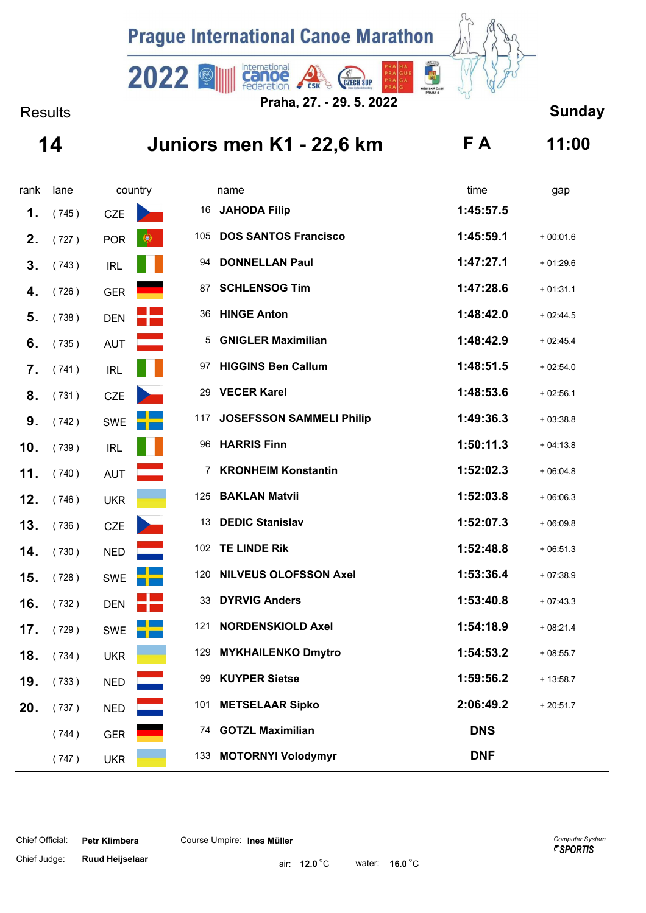

Results **Sunday Praha, 27. - 29. 5. 2022**

## **14 Juniors men K1 - 22,6 km F A 11:00**

| rank | lane  | country                 |     | name                            | time       | gap        |
|------|-------|-------------------------|-----|---------------------------------|------------|------------|
| 1.   | (745) | <b>CZE</b>              | 16  | <b>JAHODA Filip</b>             | 1:45:57.5  |            |
| 2.   | (727) | $\bullet$<br><b>POR</b> | 105 | <b>DOS SANTOS Francisco</b>     | 1:45:59.1  | $+00:01.6$ |
| 3.   | (743) | <b>IRL</b>              | 94  | <b>DONNELLAN Paul</b>           | 1:47:27.1  | $+01:29.6$ |
| 4.   | (726) | <b>GER</b>              | 87  | <b>SCHLENSOG Tim</b>            | 1:47:28.6  | $+01:31.1$ |
| 5.   | (738) | <b>DEN</b>              | 36  | <b>HINGE Anton</b>              | 1:48:42.0  | $+02:44.5$ |
| 6.   | (735) | <b>AUT</b>              | 5   | <b>GNIGLER Maximilian</b>       | 1:48:42.9  | $+02:45.4$ |
| 7.   | (741) | <b>IRL</b>              | 97  | <b>HIGGINS Ben Callum</b>       | 1:48:51.5  | $+02:54.0$ |
| 8.   | (731) | <b>CZE</b>              | 29  | <b>VECER Karel</b>              | 1:48:53.6  | $+02:56.1$ |
| 9.   | (742) | SWE                     | 117 | <b>JOSEFSSON SAMMELI Philip</b> | 1:49:36.3  | $+03:38.8$ |
| 10.  | (739) | <b>IRL</b>              | 96  | <b>HARRIS Finn</b>              | 1:50:11.3  | $+04:13.8$ |
| 11.  | (740) | <b>AUT</b>              | 7   | <b>KRONHEIM Konstantin</b>      | 1:52:02.3  | $+06:04.8$ |
| 12.  | (746) | <b>UKR</b>              | 125 | <b>BAKLAN Matvii</b>            | 1:52:03.8  | $+06:06.3$ |
| 13.  | (736) | <b>CZE</b>              | 13  | <b>DEDIC Stanislav</b>          | 1:52:07.3  | $+06:09.8$ |
| 14.  | (730) | <b>NED</b>              | 102 | <b>TE LINDE Rik</b>             | 1:52:48.8  | $+06:51.3$ |
| 15.  | (728) | <b>SWE</b>              | 120 | <b>NILVEUS OLOFSSON Axel</b>    | 1:53:36.4  | $+07:38.9$ |
| 16.  | (732) | <b>DEN</b>              | 33  | <b>DYRVIG Anders</b>            | 1:53:40.8  | $+07:43.3$ |
| 17.  | (729) | <b>SWE</b>              | 121 | <b>NORDENSKIOLD Axel</b>        | 1:54:18.9  | $+08:21.4$ |
| 18.  | (734) | <b>UKR</b>              | 129 | <b>MYKHAILENKO Dmytro</b>       | 1:54:53.2  | $+08:55.7$ |
| 19.  | (733) | <b>NED</b>              | 99  | <b>KUYPER Sietse</b>            | 1:59:56.2  | $+13:58.7$ |
| 20.  | (737) | <b>NED</b>              | 101 | <b>METSELAAR Sipko</b>          | 2:06:49.2  | $+20:51.7$ |
|      | (744) | <b>GER</b>              |     | 74 GOTZL Maximilian             | <b>DNS</b> |            |
|      | (747) | <b>UKR</b>              | 133 | <b>MOTORNYI Volodymyr</b>       | <b>DNF</b> |            |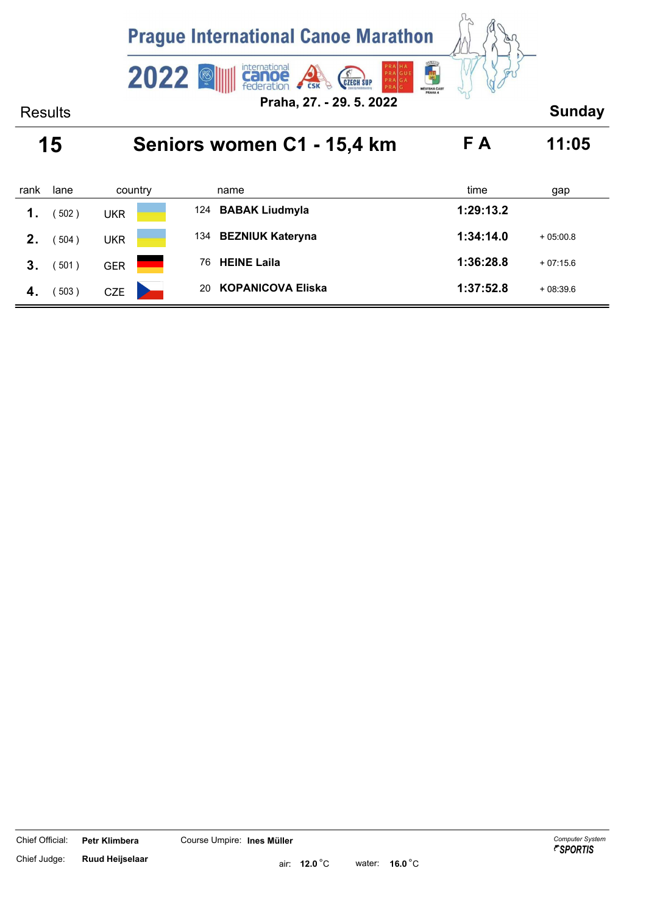

| rank | lane | country    | name                           | time<br>gap             |
|------|------|------------|--------------------------------|-------------------------|
| 1.   | 502) | <b>UKR</b> | 124 BABAK Liudmyla             | 1:29:13.2               |
| 2.   | 504) | <b>UKR</b> | 134 BEZNIUK Kateryna           | 1:34:14.0<br>$+05:00.8$ |
| 3.   | 501) | <b>GER</b> | <b>HEINE Laila</b><br>76       | 1:36:28.8<br>$+07:15.6$ |
| 4.   | 503) | <b>CZE</b> | <b>KOPANICOVA Eliska</b><br>20 | 1:37:52.8<br>$+08:39.6$ |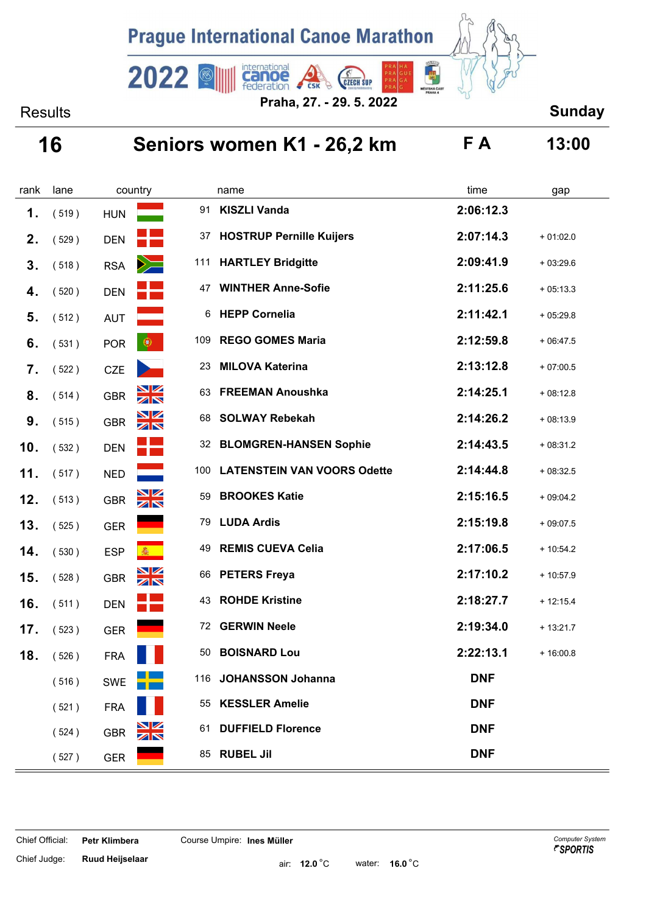

Results **Sunday Praha, 27. - 29. 5. 2022**

# **16 Seniors women K1 - 26,2 km F A 13:00**

| rank | lane  | country                     |     | name                               | time       | gap        |
|------|-------|-----------------------------|-----|------------------------------------|------------|------------|
| 1.   | (519) | <b>HUN</b>                  | 91  | <b>KISZLI Vanda</b>                | 2:06:12.3  |            |
| 2.   | (529) | <b>DEN</b>                  | 37  | <b>HOSTRUP Pernille Kuijers</b>    | 2:07:14.3  | $+01:02.0$ |
| 3.   | (518) | $\geq$<br><b>RSA</b>        | 111 | <b>HARTLEY Bridgitte</b>           | 2:09:41.9  | $+03:29.6$ |
| 4.   | (520) | <b>DEN</b>                  | 47  | <b>WINTHER Anne-Sofie</b>          | 2:11:25.6  | $+05:13.3$ |
| 5.   | (512) | <b>AUT</b>                  | 6   | <b>HEPP Cornelia</b>               | 2:11:42.1  | $+05:29.8$ |
| 6.   | (531) | $\bullet$<br><b>POR</b>     | 109 | <b>REGO GOMES Maria</b>            | 2:12:59.8  | $+06:47.5$ |
| 7.   | (522) | <b>CZE</b>                  | 23  | <b>MILOVA Katerina</b>             | 2:13:12.8  | $+07:00.5$ |
| 8.   | (514) | <b>NK</b><br><b>GBR</b>     | 63  | <b>FREEMAN Anoushka</b>            | 2:14:25.1  | $+08:12.8$ |
| 9.   | (515) | $\frac{N}{N}$<br><b>GBR</b> | 68  | <b>SOLWAY Rebekah</b>              | 2:14:26.2  | $+08:13.9$ |
| 10.  | (532) | <b>DEN</b>                  | 32  | <b>BLOMGREN-HANSEN Sophie</b>      | 2:14:43.5  | $+08:31.2$ |
| 11.  | (517) | <b>NED</b>                  | 100 | <b>LATENSTEIN VAN VOORS Odette</b> | 2:14:44.8  | $+08:32.5$ |
| 12.  | (513) | $\frac{N}{N}$<br><b>GBR</b> | 59  | <b>BROOKES Katie</b>               | 2:15:16.5  | $+09:04.2$ |
| 13.  | (525) | <b>GER</b>                  | 79  | <b>LUDA Ardis</b>                  | 2:15:19.8  | $+09:07.5$ |
| 14.  | (530) | <b>ESP</b><br>靈             | 49  | <b>REMIS CUEVA Celia</b>           | 2:17:06.5  | $+10:54.2$ |
| 15.  | (528) | $\frac{N}{N}$<br><b>GBR</b> | 66  | <b>PETERS Freya</b>                | 2:17:10.2  | $+10:57.9$ |
| 16.  | (511) | <b>DEN</b>                  | 43  | <b>ROHDE Kristine</b>              | 2:18:27.7  | $+12:15.4$ |
| 17.  | (523) | <b>GER</b>                  | 72  | <b>GERWIN Neele</b>                | 2:19:34.0  | $+13:21.7$ |
| 18.  | (526) | <b>FRA</b>                  | 50  | <b>BOISNARD Lou</b>                | 2:22:13.1  | $+16:00.8$ |
|      | (516) | <b>SWE</b>                  |     | 116 JOHANSSON Johanna              | <b>DNF</b> |            |
|      | (521) | <b>FRA</b>                  |     | 55 KESSLER Amelie                  | <b>DNF</b> |            |
|      | (524) | $\frac{N}{N}$<br><b>GBR</b> | 61  | <b>DUFFIELD Florence</b>           | <b>DNF</b> |            |
|      | (527) | <b>GER</b>                  |     | 85 RUBEL Jil                       | <b>DNF</b> |            |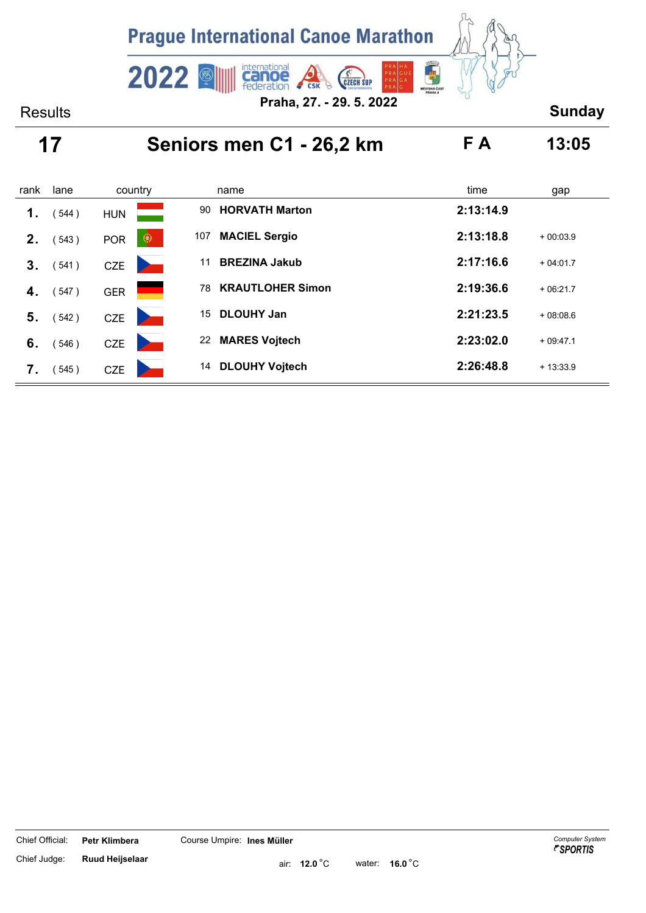

### **17 Seniors men C1 - 26,2 km F A 13:05**

| rank           | lane  | country                 | name                          | time<br>gap             |  |
|----------------|-------|-------------------------|-------------------------------|-------------------------|--|
| 1.             | 544)  | <b>HUN</b>              | <b>HORVATH Marton</b><br>90   | 2:13:14.9               |  |
| 2 <sub>1</sub> | 543)  | $\bullet$<br><b>POR</b> | <b>MACIEL Sergio</b><br>107   | 2:13:18.8<br>$+00:03.9$ |  |
| 3.             | (541) | <b>CZE</b>              | <b>BREZINA Jakub</b><br>11    | 2:17:16.6<br>$+04:01.7$ |  |
| 4.             | (547) | <b>GER</b>              | <b>KRAUTLOHER Simon</b><br>78 | 2:19:36.6<br>$+06:21.7$ |  |
| 5.             | (542) | <b>CZE</b>              | <b>DLOUHY Jan</b><br>15       | 2:21:23.5<br>$+08:08.6$ |  |
| 6.             | 546)  | <b>CZE</b>              | <b>MARES Vojtech</b><br>22    | 2:23:02.0<br>$+09:47.1$ |  |
| 7.             | 545)  | <b>CZE</b>              | <b>DLOUHY Vojtech</b><br>14   | 2:26:48.8<br>$+13:33.9$ |  |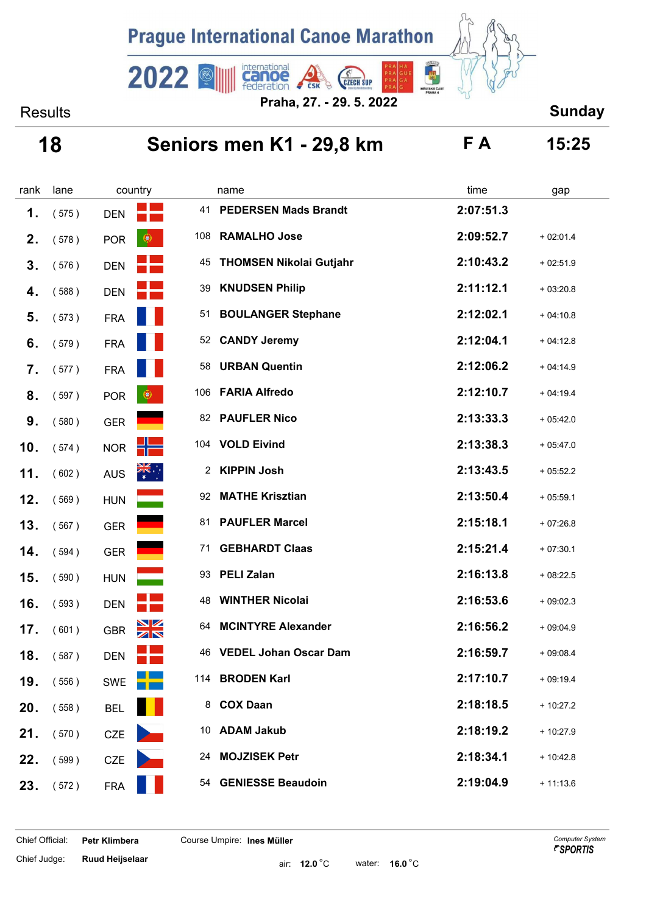

## **18 Seniors men K1 - 29,8 km F A 15:25**

| rank | lane  | country    |                           | name                           | time      | gap        |
|------|-------|------------|---------------------------|--------------------------------|-----------|------------|
| 1.   | (575) | <b>DEN</b> | 41                        | <b>PEDERSEN Mads Brandt</b>    | 2:07:51.3 |            |
| 2.   | (578) | <b>POR</b> | 108<br>$\circledast$      | <b>RAMALHO Jose</b>            | 2:09:52.7 | $+02:01.4$ |
| 3.   | (576) | <b>DEN</b> | 45                        | <b>THOMSEN Nikolai Gutjahr</b> | 2:10:43.2 | $+02:51.9$ |
| 4.   | (588) | <b>DEN</b> | 39                        | <b>KNUDSEN Philip</b>          | 2:11:12.1 | $+03:20.8$ |
| 5.   | (573) | <b>FRA</b> | 51                        | <b>BOULANGER Stephane</b>      | 2:12:02.1 | $+04:10.8$ |
| 6.   | (579) | <b>FRA</b> | 52                        | <b>CANDY Jeremy</b>            | 2:12:04.1 | $+04:12.8$ |
| 7.   | (577) | <b>FRA</b> | 58                        | <b>URBAN Quentin</b>           | 2:12:06.2 | $+04:14.9$ |
| 8.   | (597) | <b>POR</b> | 106<br>$\circledcirc$     | <b>FARIA Alfredo</b>           | 2:12:10.7 | $+04:19.4$ |
| 9.   | (580) | <b>GER</b> | 82                        | <b>PAUFLER Nico</b>            | 2:13:33.3 | $+05:42.0$ |
| 10.  | (574) | <b>NOR</b> | 104                       | <b>VOLD Eivind</b>             | 2:13:38.3 | $+05:47.0$ |
| 11.  | (602) | <b>AUS</b> | $\frac{1}{\sqrt{2}}$<br>2 | <b>KIPPIN Josh</b>             | 2:13:43.5 | $+05:52.2$ |
| 12.  | (569) | <b>HUN</b> | 92                        | <b>MATHE Krisztian</b>         | 2:13:50.4 | $+05:59.1$ |
| 13.  | (567) | GER        | 81                        | <b>PAUFLER Marcel</b>          | 2:15:18.1 | $+07:26.8$ |
| 14.  | (594) | <b>GER</b> | 71                        | <b>GEBHARDT Claas</b>          | 2:15:21.4 | $+07:30.1$ |
| 15.  | (590) | <b>HUN</b> | 93                        | <b>PELI Zalan</b>              | 2:16:13.8 | $+08:22.5$ |
| 16.  | (593) | <b>DEN</b> | 48                        | <b>WINTHER Nicolai</b>         | 2:16:53.6 | $+09:02.3$ |
| 17.  | (601) | <b>GBR</b> | <b>NK</b><br>64           | <b>MCINTYRE Alexander</b>      | 2:16:56.2 | $+09:04.9$ |
| 18.  | (587) | <b>DEN</b> | 46                        | <b>VEDEL Johan Oscar Dam</b>   | 2:16:59.7 | $+09:08.4$ |
| 19.  | (556) | <b>SWE</b> |                           | 114 BRODEN Karl                | 2:17:10.7 | $+09:19.4$ |
| 20.  | (558) | <b>BEL</b> |                           | 8 COX Daan                     | 2:18:18.5 | $+10:27.2$ |
| 21.  | (570) | CZE        |                           | 10 ADAM Jakub                  | 2:18:19.2 | $+10:27.9$ |
| 22.  | (599) | <b>CZE</b> | 24                        | <b>MOJZISEK Petr</b>           | 2:18:34.1 | $+10:42.8$ |
| 23.  | (572) | <b>FRA</b> |                           | 54 GENIESSE Beaudoin           | 2:19:04.9 | $+11:13.6$ |

Chief Judge: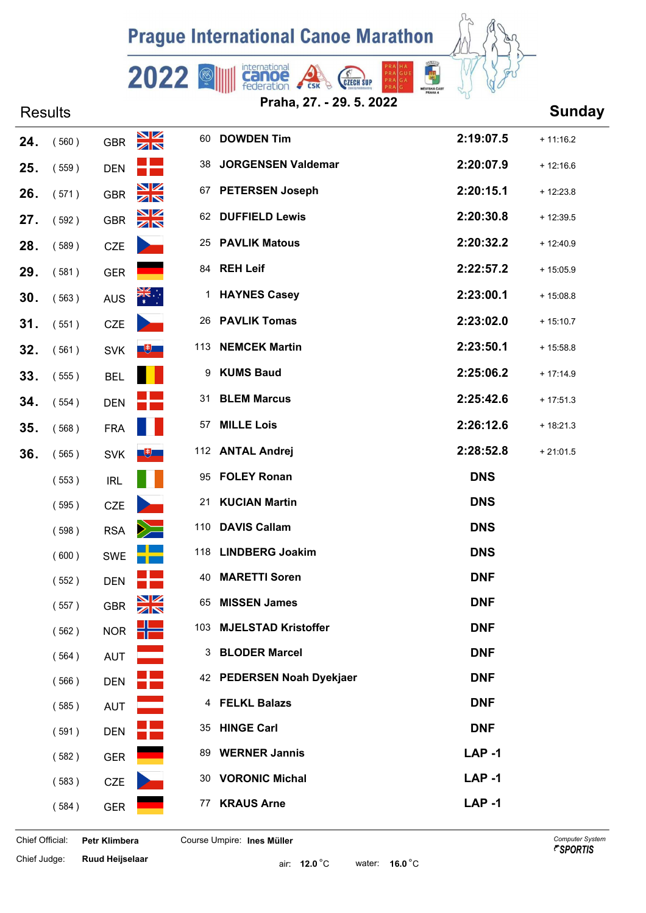### **Prague International Canoe Marathon**

**Canoe** 

2022



| Praha, 27. - 29. 5. 2022 |  |  |
|--------------------------|--|--|
|                          |  |  |

**CZECH SUP** 

# Results **Sunday Praha, 27. - 29. 5. 2022 24.** ( 560 ) GBR 60 **DOWDEN Tim 2:19:07.5** + 11:16.2 **25.** ( 559 ) **DEN DEN** 38 **JORGENSEN Valdemar DEN 2:20:07.9** + 12:16.6 **26.** ( 571 ) GBR 67 **PETERSEN Joseph 2:20:15.1** + 12:23.8 **27.** ( 592 ) GBR 62 DUFFIELD Lewis **2:20:30.8** + 12:39.5 **28.** ( 589 ) **PAVLIK Matous 2:20:32.2** + 12:40.9 **29.** ( 581 ) GER<sup>84</sup> **REH Leif 2:22:57.2** + 15:05.9 **30.** (563) AUS<sup>1</sup> **HAYNES Casey 2:23:00.1** + 15:08.8 **31.** ( 551 ) **PAVLIK Tomas** 2:23:02.0 + 15:10.7 **32.** (561) SVK **UDE 113 NEMCEK Martin** Servey **2:23:50.1** + 15:58.8 **33.** ( 555 ) **KUMS Baud** BEL<sup>9</sup> **2:25:06.2** + 17:14.9 **34.** ( 554 ) DEN **DEN** 31 **BLEM Marcus** 2:25:42.6 + 17:51.3 **35.** ( 568 ) **MILLE Lois** FRA<sup>57</sup> **2:26:12.6** + 18:21.3 **36.** (565) SVK **UP 112 ANTAL Andrej** Strategies and Society 112 and Society Andrej Strategies 2:28:52.8 + 21:01.5 (553) **IRL** 95 **FOLEY Ronan IRL** DNS (595) CZE<sup>2</sup>21 **KUCIAN Martin DNS** ( 598 ) RSA<sup>110</sup> **DAVIS Callam DNS** ( 600 ) SWE<sup>118</sup> **LINDBERG Joakim DNS** ( 552 ) DEN **DEN** 40 **MARETTI Soren DNF** ( 557 ) GBR<sup>65</sup> **MISSEN James DNF** (562) NOR<sup>11</sup> 103 MJELSTAD Kristoffer **DNF** (564) **AUT** 3 **BLODER Marcel DNF** (566) DEN **PEDERSEN Noah Dyekjaer** DNF (585) AUT **AUT** 4 FELKL Balazs **DNF** (591) **DEN HINGE Carl DNF** ( 582 ) GER<sup>89</sup> **WERNER Jannis LAP -1** (583) **CZE** 30 **VORONIC Michal LAP -1** ( 584 ) GER<sup>77</sup> **KRAUS Arne LAP -1**

Chief Judge: